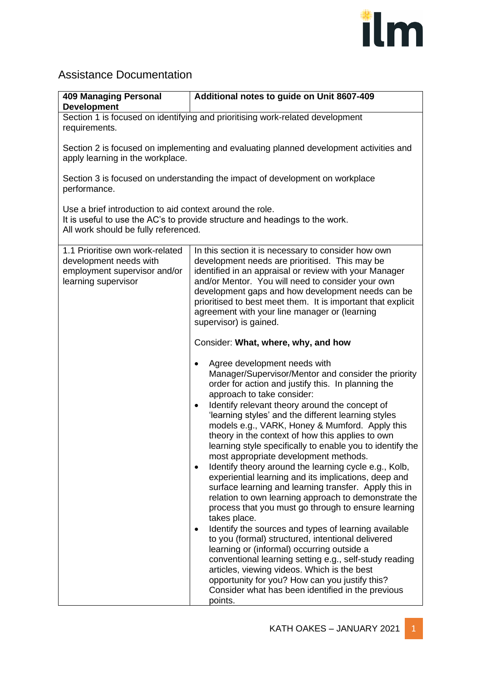

## Assistance Documentation

| <b>409 Managing Personal</b><br><b>Development</b>                                                                                                                              | Additional notes to guide on Unit 8607-409                                                                                                                                                                                                                                                                                                                                                                                                                                                                                                                                                                                                                                                                                                                                                                                                                                                                                                                                                                                                                                                                                                                                                                            |  |
|---------------------------------------------------------------------------------------------------------------------------------------------------------------------------------|-----------------------------------------------------------------------------------------------------------------------------------------------------------------------------------------------------------------------------------------------------------------------------------------------------------------------------------------------------------------------------------------------------------------------------------------------------------------------------------------------------------------------------------------------------------------------------------------------------------------------------------------------------------------------------------------------------------------------------------------------------------------------------------------------------------------------------------------------------------------------------------------------------------------------------------------------------------------------------------------------------------------------------------------------------------------------------------------------------------------------------------------------------------------------------------------------------------------------|--|
| Section 1 is focused on identifying and prioritising work-related development<br>requirements.                                                                                  |                                                                                                                                                                                                                                                                                                                                                                                                                                                                                                                                                                                                                                                                                                                                                                                                                                                                                                                                                                                                                                                                                                                                                                                                                       |  |
| Section 2 is focused on implementing and evaluating planned development activities and<br>apply learning in the workplace.                                                      |                                                                                                                                                                                                                                                                                                                                                                                                                                                                                                                                                                                                                                                                                                                                                                                                                                                                                                                                                                                                                                                                                                                                                                                                                       |  |
| Section 3 is focused on understanding the impact of development on workplace<br>performance.                                                                                    |                                                                                                                                                                                                                                                                                                                                                                                                                                                                                                                                                                                                                                                                                                                                                                                                                                                                                                                                                                                                                                                                                                                                                                                                                       |  |
| Use a brief introduction to aid context around the role.<br>It is useful to use the AC's to provide structure and headings to the work.<br>All work should be fully referenced. |                                                                                                                                                                                                                                                                                                                                                                                                                                                                                                                                                                                                                                                                                                                                                                                                                                                                                                                                                                                                                                                                                                                                                                                                                       |  |
| 1.1 Prioritise own work-related<br>development needs with<br>employment supervisor and/or<br>learning supervisor                                                                | In this section it is necessary to consider how own<br>development needs are prioritised. This may be<br>identified in an appraisal or review with your Manager<br>and/or Mentor. You will need to consider your own<br>development gaps and how development needs can be<br>prioritised to best meet them. It is important that explicit<br>agreement with your line manager or (learning<br>supervisor) is gained.<br>Consider: What, where, why, and how                                                                                                                                                                                                                                                                                                                                                                                                                                                                                                                                                                                                                                                                                                                                                           |  |
|                                                                                                                                                                                 | Agree development needs with<br>Manager/Supervisor/Mentor and consider the priority<br>order for action and justify this. In planning the<br>approach to take consider:<br>Identify relevant theory around the concept of<br>$\bullet$<br>'learning styles' and the different learning styles<br>models e.g., VARK, Honey & Mumford. Apply this<br>theory in the context of how this applies to own<br>learning style specifically to enable you to identify the<br>most appropriate development methods.<br>Identify theory around the learning cycle e.g., Kolb,<br>$\bullet$<br>experiential learning and its implications, deep and<br>surface learning and learning transfer. Apply this in<br>relation to own learning approach to demonstrate the<br>process that you must go through to ensure learning<br>takes place.<br>Identify the sources and types of learning available<br>to you (formal) structured, intentional delivered<br>learning or (informal) occurring outside a<br>conventional learning setting e.g., self-study reading<br>articles, viewing videos. Which is the best<br>opportunity for you? How can you justify this?<br>Consider what has been identified in the previous<br>points. |  |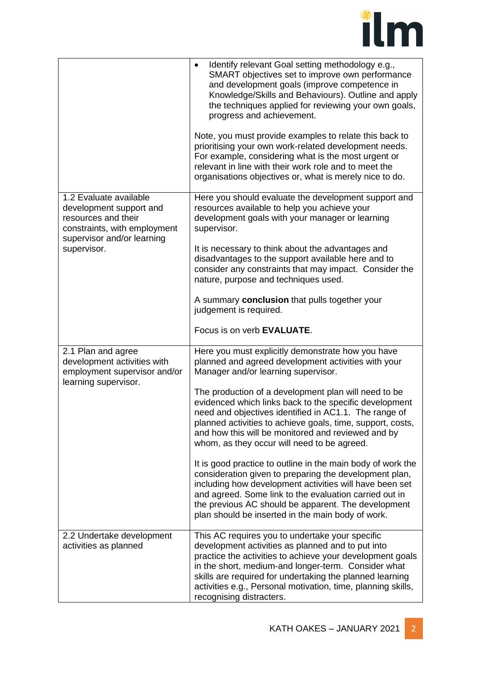

|                                                                                                                                                       | Identify relevant Goal setting methodology e.g.,<br>$\bullet$<br>SMART objectives set to improve own performance<br>and development goals (improve competence in<br>Knowledge/Skills and Behaviours). Outline and apply<br>the techniques applied for reviewing your own goals,<br>progress and achievement.                                                                     |
|-------------------------------------------------------------------------------------------------------------------------------------------------------|----------------------------------------------------------------------------------------------------------------------------------------------------------------------------------------------------------------------------------------------------------------------------------------------------------------------------------------------------------------------------------|
|                                                                                                                                                       | Note, you must provide examples to relate this back to<br>prioritising your own work-related development needs.<br>For example, considering what is the most urgent or<br>relevant in line with their work role and to meet the<br>organisations objectives or, what is merely nice to do.                                                                                       |
| 1.2 Evaluate available<br>development support and<br>resources and their<br>constraints, with employment<br>supervisor and/or learning<br>supervisor. | Here you should evaluate the development support and<br>resources available to help you achieve your<br>development goals with your manager or learning<br>supervisor.                                                                                                                                                                                                           |
|                                                                                                                                                       | It is necessary to think about the advantages and<br>disadvantages to the support available here and to<br>consider any constraints that may impact. Consider the<br>nature, purpose and techniques used.                                                                                                                                                                        |
|                                                                                                                                                       | A summary conclusion that pulls together your<br>judgement is required.                                                                                                                                                                                                                                                                                                          |
|                                                                                                                                                       | Focus is on verb EVALUATE.                                                                                                                                                                                                                                                                                                                                                       |
| 2.1 Plan and agree<br>development activities with<br>employment supervisor and/or<br>learning supervisor.                                             | Here you must explicitly demonstrate how you have<br>planned and agreed development activities with your<br>Manager and/or learning supervisor.                                                                                                                                                                                                                                  |
|                                                                                                                                                       | The production of a development plan will need to be<br>evidenced which links back to the specific development<br>need and objectives identified in AC1.1. The range of<br>planned activities to achieve goals, time, support, costs,<br>and how this will be monitored and reviewed and by<br>whom, as they occur will need to be agreed.                                       |
|                                                                                                                                                       | It is good practice to outline in the main body of work the<br>consideration given to preparing the development plan,<br>including how development activities will have been set<br>and agreed. Some link to the evaluation carried out in<br>the previous AC should be apparent. The development<br>plan should be inserted in the main body of work.                           |
| 2.2 Undertake development<br>activities as planned                                                                                                    | This AC requires you to undertake your specific<br>development activities as planned and to put into<br>practice the activities to achieve your development goals<br>in the short, medium-and longer-term. Consider what<br>skills are required for undertaking the planned learning<br>activities e.g., Personal motivation, time, planning skills,<br>recognising distracters. |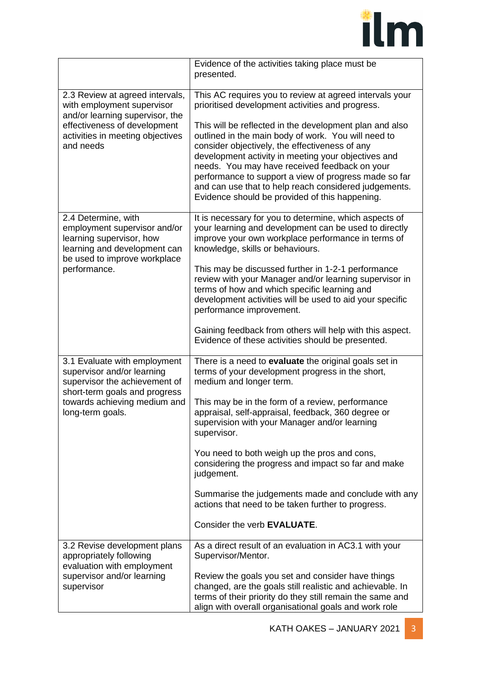

|                                                                                                                                                                                  | Evidence of the activities taking place must be<br>presented.                                                                                                                                                                                                                                                                                                                                                                                |
|----------------------------------------------------------------------------------------------------------------------------------------------------------------------------------|----------------------------------------------------------------------------------------------------------------------------------------------------------------------------------------------------------------------------------------------------------------------------------------------------------------------------------------------------------------------------------------------------------------------------------------------|
| 2.3 Review at agreed intervals,<br>with employment supervisor<br>and/or learning supervisor, the                                                                                 | This AC requires you to review at agreed intervals your<br>prioritised development activities and progress.                                                                                                                                                                                                                                                                                                                                  |
| effectiveness of development<br>activities in meeting objectives<br>and needs                                                                                                    | This will be reflected in the development plan and also<br>outlined in the main body of work. You will need to<br>consider objectively, the effectiveness of any<br>development activity in meeting your objectives and<br>needs. You may have received feedback on your<br>performance to support a view of progress made so far<br>and can use that to help reach considered judgements.<br>Evidence should be provided of this happening. |
| 2.4 Determine, with<br>employment supervisor and/or<br>learning supervisor, how<br>learning and development can<br>be used to improve workplace<br>performance.                  | It is necessary for you to determine, which aspects of<br>your learning and development can be used to directly<br>improve your own workplace performance in terms of<br>knowledge, skills or behaviours.                                                                                                                                                                                                                                    |
|                                                                                                                                                                                  | This may be discussed further in 1-2-1 performance<br>review with your Manager and/or learning supervisor in<br>terms of how and which specific learning and<br>development activities will be used to aid your specific<br>performance improvement.                                                                                                                                                                                         |
|                                                                                                                                                                                  | Gaining feedback from others will help with this aspect.<br>Evidence of these activities should be presented.                                                                                                                                                                                                                                                                                                                                |
| 3.1 Evaluate with employment<br>supervisor and/or learning<br>supervisor the achievement of<br>short-term goals and progress<br>towards achieving medium and<br>long-term goals. | There is a need to evaluate the original goals set in<br>terms of your development progress in the short,<br>medium and longer term.                                                                                                                                                                                                                                                                                                         |
|                                                                                                                                                                                  | This may be in the form of a review, performance<br>appraisal, self-appraisal, feedback, 360 degree or<br>supervision with your Manager and/or learning<br>supervisor.                                                                                                                                                                                                                                                                       |
|                                                                                                                                                                                  | You need to both weigh up the pros and cons,<br>considering the progress and impact so far and make<br>judgement.                                                                                                                                                                                                                                                                                                                            |
|                                                                                                                                                                                  | Summarise the judgements made and conclude with any<br>actions that need to be taken further to progress.                                                                                                                                                                                                                                                                                                                                    |
|                                                                                                                                                                                  | Consider the verb EVALUATE.                                                                                                                                                                                                                                                                                                                                                                                                                  |
| 3.2 Revise development plans<br>appropriately following<br>evaluation with employment<br>supervisor and/or learning<br>supervisor                                                | As a direct result of an evaluation in AC3.1 with your<br>Supervisor/Mentor.                                                                                                                                                                                                                                                                                                                                                                 |
|                                                                                                                                                                                  | Review the goals you set and consider have things<br>changed, are the goals still realistic and achievable. In<br>terms of their priority do they still remain the same and<br>align with overall organisational goals and work role                                                                                                                                                                                                         |